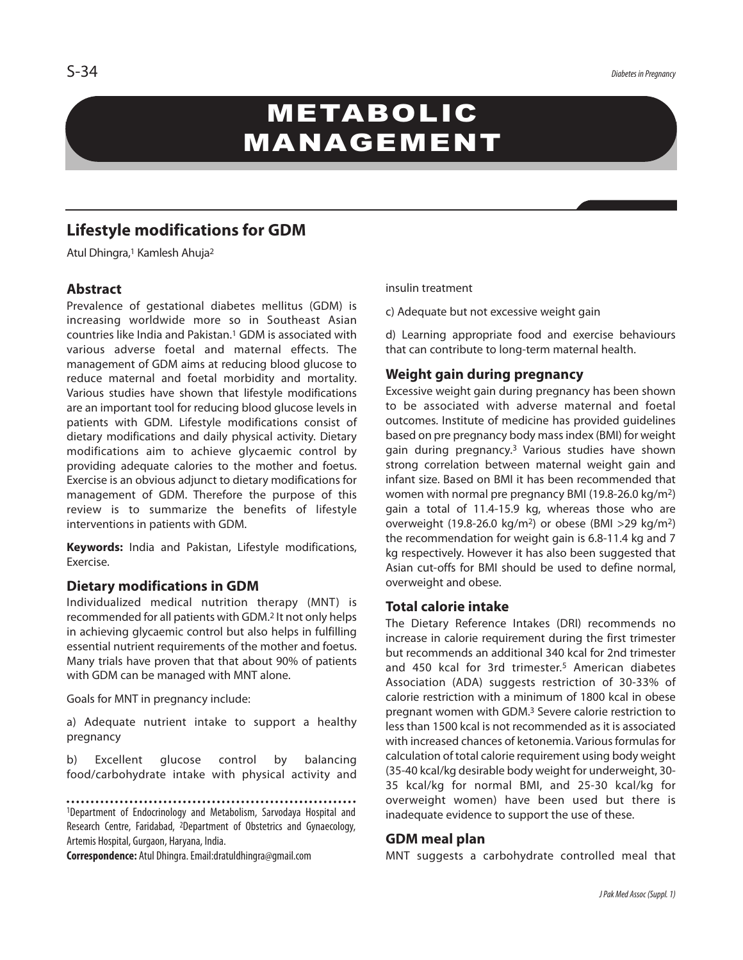# METABOLIC MANAGEMENT

# **Lifestyle modifications for GDM**

Atul Dhingra, <sup>1</sup> Kamlesh Ahuja2

# **Abstract**

Prevalence of gestational diabetes mellitus (GDM) is increasing worldwide more so in Southeast Asian countries like India and Pakistan. <sup>1</sup> GDM is associated with various adverse foetal and maternal effects. The management of GDM aims at reducing blood glucose to reduce maternal and foetal morbidity and mortality. Various studies have shown that lifestyle modifications are an important tool for reducing blood glucose levels in patients with GDM. Lifestyle modifications consist of dietary modifications and daily physical activity. Dietary modifications aim to achieve glycaemic control by providing adequate calories to the mother and foetus. Exercise is an obvious adjunct to dietary modifications for management of GDM. Therefore the purpose of this review is to summarize the benefits of lifestyle interventions in patients with GDM.

**Keywords:** India and Pakistan, Lifestyle modifications, Exercise.

# **Dietary modifications in GDM**

Individualized medical nutrition therapy (MNT) is recommended for all patients with GDM. <sup>2</sup> It not only helps in achieving glycaemic control but also helps in fulfilling essential nutrient requirements of the mother and foetus. Many trials have proven that that about 90% of patients with GDM can be managed with MNT alone.

Goals for MNT in pregnancy include:

a) Adequate nutrient intake to support a healthy pregnancy

b) Excellent glucose control by balancing food/carbohydrate intake with physical activity and

1Department of Endocrinology and Metabolism, Sarvodaya Hospital and Research Centre, Faridabad, 2Department of Obstetrics and Gynaecology, Artemis Hospital, Gurgaon, Haryana, India.

**Correspondence:** Atul Dhingra.Email:dratuldhingra@gmail.com

#### insulin treatment

c) Adequate but not excessive weight gain

d) Learning appropriate food and exercise behaviours that can contribute to long-term maternal health.

# **Weight gain during pregnancy**

Excessive weight gain during pregnancy has been shown to be associated with adverse maternal and foetal outcomes. Institute of medicine has provided guidelines based on pre pregnancy body massindex (BMI) for weight gain during pregnancy. <sup>3</sup> Various studies have shown strong correlation between maternal weight gain and infant size. Based on BMI it has been recommended that women with normal pre pregnancy BMI (19.8-26.0 kg/m2) gain a total of 11.4-15.9 kg, whereas those who are overweight (19.8-26.0 kg/m<sup>2</sup>) or obese (BMI >29 kg/m<sup>2</sup>) the recommendation for weight gain is 6.8-11.4 kg and 7 kg respectively. However it has also been suggested that Asian cut-offs for BMI should be used to define normal, overweight and obese.

# **Total calorie intake**

The Dietary Reference Intakes (DRI) recommends no increase in calorie requirement during the first trimester but recommends an additional 340 kcal for 2nd trimester and 450 kcal for 3rd trimester. <sup>5</sup> American diabetes Association (ADA) suggests restriction of 30-33% of calorie restriction with a minimum of 1800 kcal in obese pregnant women with GDM. <sup>3</sup> Severe calorie restriction to less than 1500 kcal is not recommended as it is associated with increased chances of ketonemia. Various formulas for calculation of total calorie requirement using body weight (35-40 kcal/kg desirable body weight for underweight, 30- 35 kcal/kg for normal BMI, and 25-30 kcal/kg for overweight women) have been used but there is inadequate evidence to support the use of these.

# **GDM meal plan**

MNT suggests a carbohydrate controlled meal that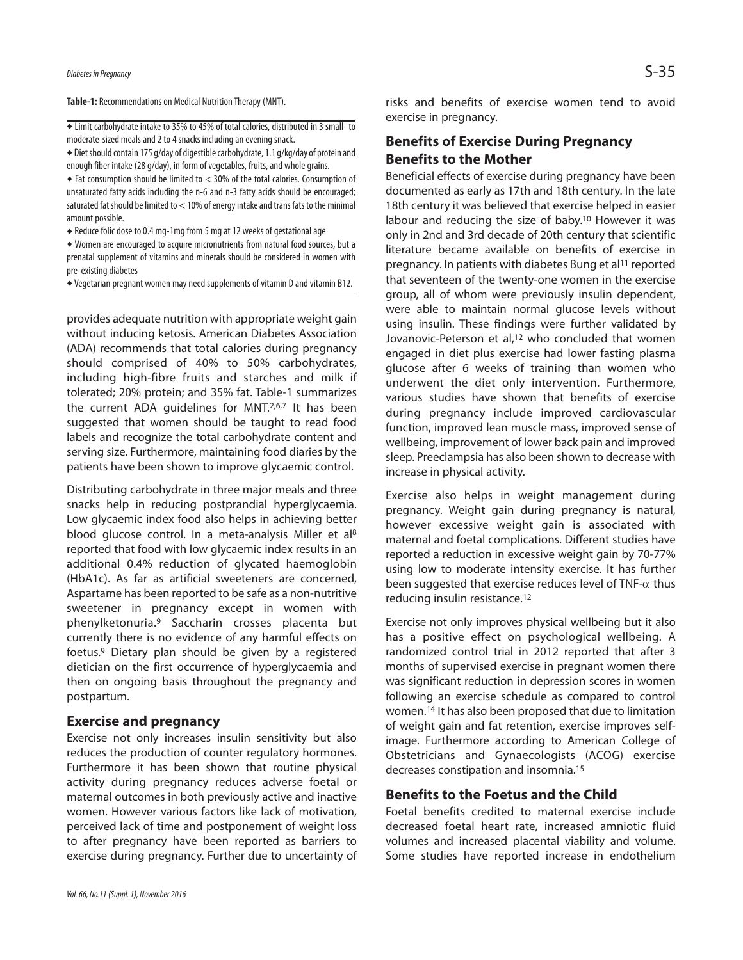Table-1: Recommendations on Medical Nutrition Therapy (MNT).

 $\overline{\bullet}$  Limit carbohydrate intake to 35% to 45% of total calories, distributed in 3 small- to moderate-sized meals and 2 to 4 snacks including an evening snack.

\* Diet should contain 175 g/day of digestible carbohydrate, 1.1 g/kg/day of protein and enough fiber intake (28 g/day), in form of vegetables, fruits, and whole grains.

 Fat consumption should be limited to < 30% of the total calories. Consumption of unsaturated fatty acids including the n-6 and n-3 fatty acids should be encouraged; saturated fat should be limited to  $<$  10% of energy intake and trans fats to the minimal amount possible.

◆ Reduce folic dose to 0.4 mg-1mg from 5 mg at 12 weeks of gestational age

 Women are encouraged to acquire micronutrients from natural food sources, but a prenatal supplement of vitamins and minerals should be considered in women with pre-existing diabetes

 $\bullet$  Vegetarian pregnant women may need supplements of vitamin D and vitamin B12.

provides adequate nutrition with appropriate weight gain without inducing ketosis. American Diabetes Association (ADA) recommends that total calories during pregnancy should comprised of 40% to 50% carbohydrates, including high-fibre fruits and starches and milk if tolerated; 20% protein; and 35% fat. Table-1 summarizes the current ADA guidelines for MNT.<sup>2,6,7</sup> It has been suggested that women should be taught to read food labels and recognize the total carbohydrate content and serving size. Furthermore, maintaining food diaries by the patients have been shown to improve glycaemic control.

Distributing carbohydrate in three major meals and three snacks help in reducing postprandial hyperglycaemia. Low glycaemic index food also helps in achieving better blood glucose control. In a meta-analysis Miller et al<sup>8</sup> reported that food with low glycaemic index results in an additional 0.4% reduction of glycated haemoglobin (HbA1c). As far as artificial sweeteners are concerned, Aspartame has been reported to be safe as a non-nutritive sweetener in pregnancy except in women with phenylketonuria. <sup>9</sup> Saccharin crosses placenta but currently there is no evidence of any harmful effects on foetus. <sup>9</sup> Dietary plan should be given by a registered dietician on the first occurrence of hyperglycaemia and then on ongoing basis throughout the pregnancy and postpartum.

#### **Exercise and pregnancy**

Exercise not only increases insulin sensitivity but also reduces the production of counter regulatory hormones. Furthermore it has been shown that routine physical activity during pregnancy reduces adverse foetal or maternal outcomes in both previously active and inactive women. However various factors like lack of motivation, perceived lack of time and postponement of weight loss to after pregnancy have been reported as barriers to exercise during pregnancy. Further due to uncertainty of

# **Benefits of Exercise During Pregnancy Benefits to the Mother**

Beneficial effects of exercise during pregnancy have been documented as early as 17th and 18th century. In the late 18th century it was believed that exercise helped in easier labour and reducing the size of baby. 10 However it was only in 2nd and 3rd decade of 20th century that scientific literature became available on benefits of exercise in pregnancy. In patients with diabetes Bung et al<sup>11</sup> reported that seventeen of the twenty-one women in the exercise group, all of whom were previously insulin dependent, were able to maintain normal glucose levels without using insulin. These findings were further validated by Jovanovic-Peterson et al, 12 who concluded that women engaged in diet plus exercise had lower fasting plasma glucose after 6 weeks of training than women who underwent the diet only intervention. Furthermore, various studies have shown that benefits of exercise during pregnancy include improved cardiovascular function, improved lean muscle mass, improved sense of wellbeing, improvement of lower back pain and improved sleep. Preeclampsia has also been shown to decrease with increase in physical activity.

Exercise also helps in weight management during pregnancy. Weight gain during pregnancy is natural, however excessive weight gain is associated with maternal and foetal complications. Different studies have reported a reduction in excessive weight gain by 70-77% using low to moderate intensity exercise. It has further been suggested that exercise reduces level of TNF- $\alpha$  thus reducing insulin resistance. 12

Exercise not only improves physical wellbeing but it also has a positive effect on psychological wellbeing. A randomized control trial in 2012 reported that after 3 months of supervised exercise in pregnant women there was significant reduction in depression scores in women following an exercise schedule as compared to control women. <sup>14</sup> It has also been proposed that due to limitation of weight gain and fat retention, exercise improves selfimage. Furthermore according to American College of Obstetricians and Gynaecologists (ACOG) exercise decreases constipation and insomnia. 15

# **Benefits to the Foetus and the Child**

Foetal benefits credited to maternal exercise include decreased foetal heart rate, increased amniotic fluid volumes and increased placental viability and volume. Some studies have reported increase in endothelium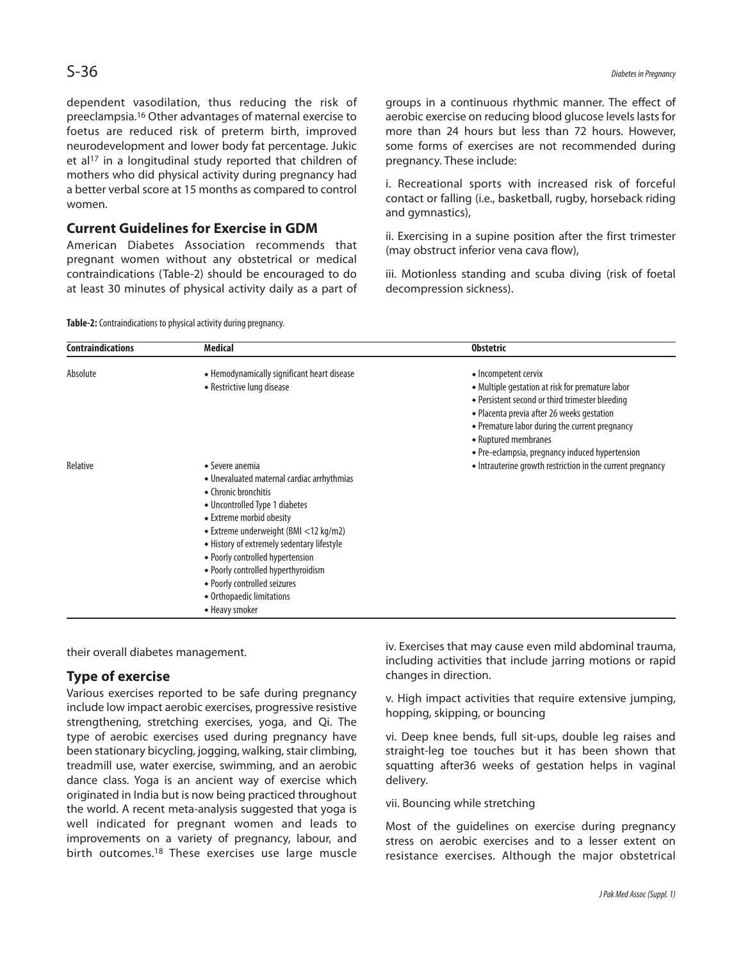dependent vasodilation, thus reducing the risk of preeclampsia. <sup>16</sup> Other advantages of maternal exercise to foetus are reduced risk of preterm birth, improved neurodevelopment and lower body fat percentage. Jukic et al<sup>17</sup> in a longitudinal study reported that children of mothers who did physical activity during pregnancy had a better verbal score at 15 months as compared to control women.

# **Current Guidelines for Exercise in GDM**

American Diabetes Association recommends that pregnant women without any obstetrical or medical contraindications (Table-2) should be encouraged to do at least 30 minutes of physical activity daily as a part of groups in a continuous rhythmic manner. The effect of aerobic exercise on reducing blood glucose levels lasts for more than 24 hours but less than 72 hours. However, some forms of exercises are not recommended during pregnancy. These include:

i. Recreational sports with increased risk of forceful contact or falling (i.e., basketball, rugby, horseback riding and gymnastics),

ii. Exercising in a supine position after the first trimester (may obstruct inferior vena cava flow),

iii. Motionless standing and scuba diving (risk of foetal decompression sickness).

| <b>Contraindications</b> | <b>Medical</b>                                                                                                                                                                                                                                                                                                                                                                                                           | <b>Obstetric</b>                                                                                                                                                                                                                                                                                       |
|--------------------------|--------------------------------------------------------------------------------------------------------------------------------------------------------------------------------------------------------------------------------------------------------------------------------------------------------------------------------------------------------------------------------------------------------------------------|--------------------------------------------------------------------------------------------------------------------------------------------------------------------------------------------------------------------------------------------------------------------------------------------------------|
| Absolute                 | • Hemodynamically significant heart disease<br>• Restrictive lung disease                                                                                                                                                                                                                                                                                                                                                | • Incompetent cervix<br>• Multiple gestation at risk for premature labor<br>◆ Persistent second or third trimester bleeding<br>• Placenta previa after 26 weeks gestation<br>• Premature labor during the current pregnancy<br>• Ruptured membranes<br>• Pre-eclampsia, pregnancy induced hypertension |
| Relative                 | $\triangle$ Severe anemia<br>• Unevaluated maternal cardiac arrhythmias<br>• Chronic bronchitis<br>• Uncontrolled Type 1 diabetes<br>• Extreme morbid obesity<br>$\triangle$ Extreme underweight (BMI <12 kg/m2)<br>• History of extremely sedentary lifestyle<br>• Poorly controlled hypertension<br>• Poorly controlled hyperthyroidism<br>◆ Poorly controlled seizures<br>• Orthopaedic limitations<br>• Heavy smoker | • Intrauterine growth restriction in the current pregnancy                                                                                                                                                                                                                                             |

their overall diabetes management.

# **Type of exercise**

Various exercises reported to be safe during pregnancy include low impact aerobic exercises, progressive resistive strengthening, stretching exercises, yoga, and Qi. The type of aerobic exercises used during pregnancy have been stationary bicycling, jogging, walking, stair climbing, treadmill use, water exercise, swimming, and an aerobic dance class. Yoga is an ancient way of exercise which originated in India but is now being practiced throughout the world. A recent meta-analysis suggested that yoga is well indicated for pregnant women and leads to improvements on a variety of pregnancy, labour, and birth outcomes.<sup>18</sup> These exercises use large muscle

iv. Exercises that may cause even mild abdominal trauma, including activities that include jarring motions or rapid changes in direction.

v. High impact activities that require extensive jumping, hopping, skipping, or bouncing

vi. Deep knee bends, full sit-ups, double leg raises and straight-leg toe touches but it has been shown that squatting after36 weeks of gestation helps in vaginal delivery.

#### vii. Bouncing while stretching

Most of the guidelines on exercise during pregnancy stress on aerobic exercises and to a lesser extent on resistance exercises. Although the major obstetrical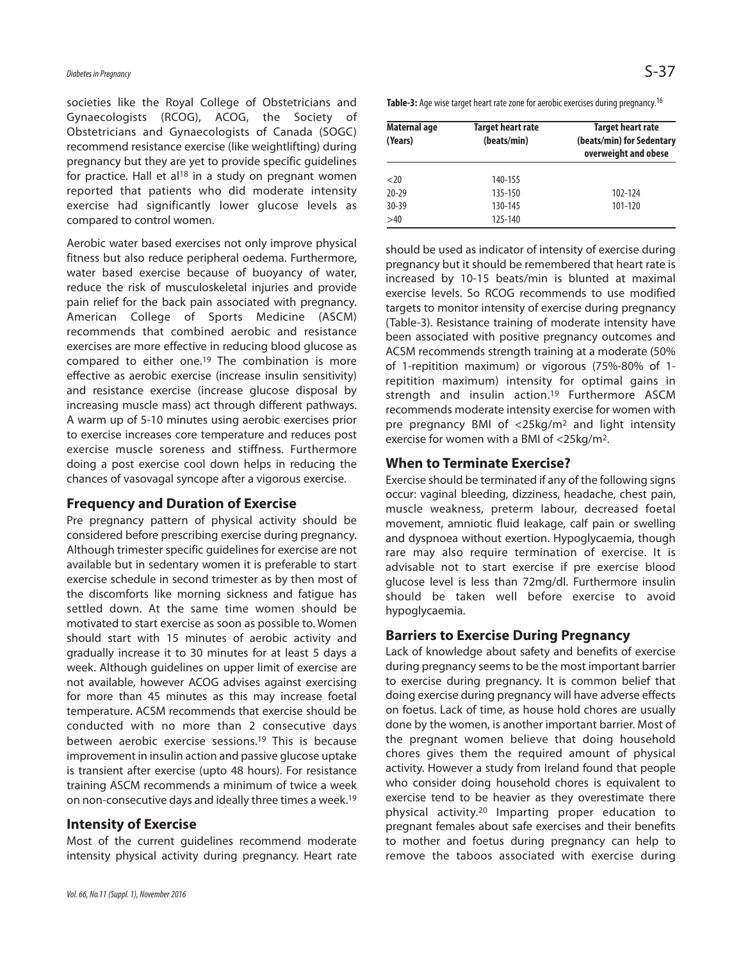societies like the Royal College of Obstetricians and Gynaecologists (RCOG), ACOG, the Society of Obstetricians and Gynaecologists of Canada (SOGC) recommend resistance exercise (like weightlifting) during pregnancy but they are yet to provide specific guidelines for practice. Hall et al<sup>18</sup> in a study on pregnant women reported that patients who did moderate intensity exercise had significantly lower glucose levels as compared to control women.

Aerobic water based exercises not only improve physical fitness but also reduce peripheral oedema. Furthermore, water based exercise because of buoyancy of water, reduce the risk of musculoskeletal injuries and provide pain relief for the back pain associated with pregnancy. American College of Sports Medicine (ASCM) recommends that combined aerobic and resistance exercises are more effective in reducing blood glucose as compared to either one. 19 The combination is more effective as aerobic exercise (increase insulin sensitivity) and resistance exercise (increase glucose disposal by increasing muscle mass) act through different pathways. A warm up of 5-10 minutes using aerobic exercises prior to exercise increases core temperature and reduces post exercise muscle soreness and stiffness. Furthermore doing a post exercise cool down helps in reducing the chances of vasovagal syncope after a vigorous exercise.

# **Frequency and Duration of Exercise**

Pre pregnancy pattern of physical activity should be considered before prescribing exercise during pregnancy. Although trimester specific guidelines for exercise are not available but in sedentary women it is preferable to start exercise schedule in second trimester as by then most of the discomforts like morning sickness and fatigue has settled down. At the same time women should be motivated to start exercise as soon as possible to. Women should start with 15 minutes of aerobic activity and gradually increase it to 30 minutes for at least 5 days a week. Although guidelines on upper limit of exercise are not available, however ACOG advises against exercising for more than 45 minutes as this may increase foetal temperature. ACSM recommends that exercise should be conducted with no more than 2 consecutive days between aerobic exercise sessions. <sup>19</sup> This is because improvement in insulin action and passive glucose uptake is transient after exercise (upto 48 hours). For resistance training ASCM recommends a minimum of twice a week on non-consecutive days and ideally three times a week. 19

#### **Intensity of Exercise**

Most of the current guidelines recommend moderate intensity physical activity during pregnancy. Heart rate Table-3: Age wise target heart rate zone for aerobic exercises during pregnancy.<sup>16</sup>

| Maternal age<br>(Years) | <b>Target heart rate</b><br>(beats/min) | Target heart rate<br>(beats/min) for Sedentary<br>overweight and obese |
|-------------------------|-----------------------------------------|------------------------------------------------------------------------|
| $<$ 20                  | 140-155                                 |                                                                        |
| $20 - 29$               | 135-150                                 | 102-124                                                                |
| $30 - 39$               | 130-145                                 | 101-120                                                                |
| >40                     | 125-140                                 |                                                                        |

should be used as indicator of intensity of exercise during pregnancy but it should be remembered that heart rate is increased by 10-15 beats/min is blunted at maximal exercise levels. So RCOG recommends to use modified targets to monitor intensity of exercise during pregnancy (Table-3). Resistance training of moderate intensity have been associated with positive pregnancy outcomes and ACSM recommends strength training at a moderate (50% of 1-repitition maximum) or vigorous (75%-80% of 1 repitition maximum) intensity for optimal gains in strength and insulin action. <sup>19</sup> Furthermore ASCM recommends moderate intensity exercise for women with pre pregnancy BMI of <25kg/m2 and light intensity exercise for women with a BMI of <25kg/m2.

# **When to Terminate Exercise?**

Exercise should be terminated if any of the following signs occur: vaginal bleeding, dizziness, headache, chest pain, muscle weakness, preterm labour, decreased foetal movement, amniotic fluid leakage, calf pain or swelling and dyspnoea without exertion. Hypoglycaemia, though rare may also require termination of exercise. It is advisable not to start exercise if pre exercise blood glucose level is less than 72mg/dl. Furthermore insulin should be taken well before exercise to avoid hypoglycaemia.

# **Barriers to Exercise During Pregnancy**

Lack of knowledge about safety and benefits of exercise during pregnancy seems to be the most important barrier to exercise during pregnancy. It is common belief that doing exercise during pregnancy will have adverse effects on foetus. Lack of time, as house hold chores are usually done by the women, is another important barrier. Most of the pregnant women believe that doing household chores gives them the required amount of physical activity. However a study from Ireland found that people who consider doing household chores is equivalent to exercise tend to be heavier as they overestimate there physical activity. <sup>20</sup> Imparting proper education to pregnant females about safe exercises and their benefits to mother and foetus during pregnancy can help to remove the taboos associated with exercise during